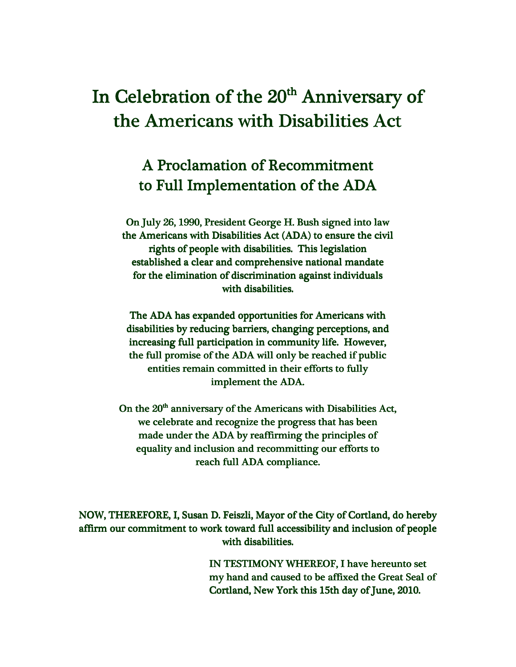## In Celebration of the 20<sup>th</sup> Anniversary of the Americans with Disabilities Act

## A Proclamation of Recommitment to Full Implementation of the ADA

On July 26, 1990, President George H. Bush signed into law nto law the Americans with Disabilities Act (ADA) to ensure the civil rights of people with disabilities. This legislation established a clear and comprehensive national mandate for the elimination of discrimination against individuals with disabilities.

The ADA has expanded opportunities for Americans with disabilities by reducing barriers, changing perceptions, and increasing full participation in community life. However, the full promise of the ADA will only be reached if public entities remain committed in their efforts to fully implement the ADA.

On the  $20<sup>th</sup>$  anniversary of the Americans with Disabilities Act, we celebrate and recognize the progress that has been made under the ADA by reaffirming the principles of equality and inclusion and recommitting our efforts to reach full ADA compliance.

NOW, THEREFORE, I, Susan D. Feiszli, Mayor of the City of Cortland, do hereby affirm our commitment to work toward full accessibility and inclusion of people with disabilities.

> IN TESTIMONY WHEREOF, I have hereunto set my hand and caused to be affixed the Great Seal of Cortland, New York this 15th day of June, 2010.